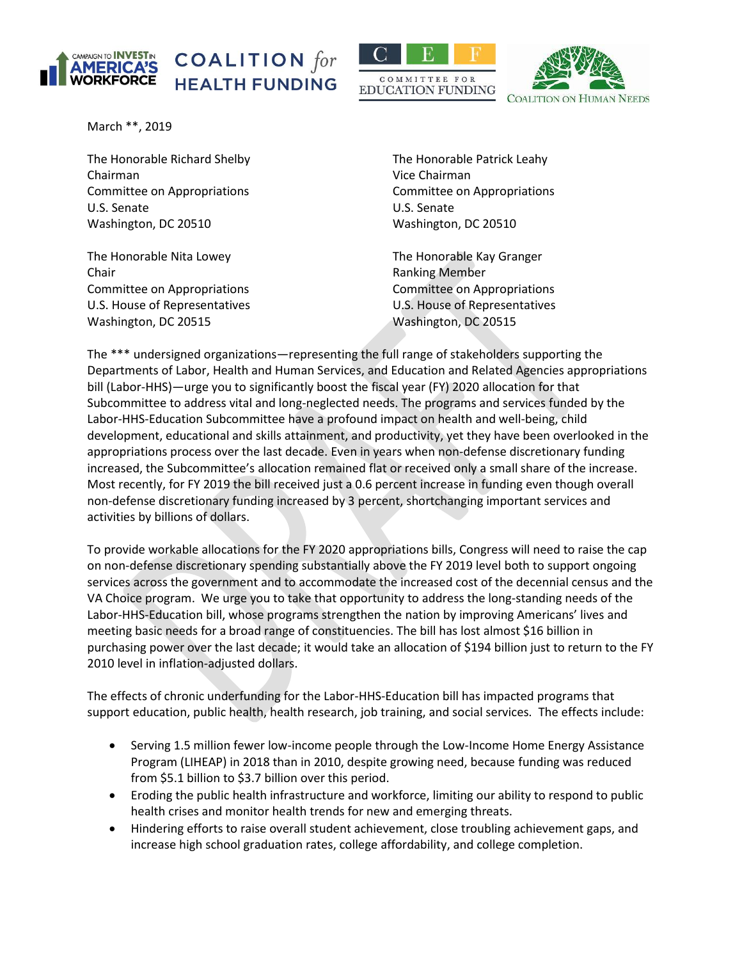





March \*\*, 2019

The Honorable Richard Shelby The Honorable Patrick Leahy Chairman Vice Chairman Committee on Appropriations Committee on Appropriations U.S. Senate U.S. Senate Washington, DC 20510 Washington, DC 20510

The Honorable Nita Lowey The Honorable Kay Granger Chair **Chair Chair Chair Chair Chair Chair Chair Chair Chair Chair Chair Chair Chair Chair Chair Chair Chair Chair Chair Chair Chair Chair Chair Chair Chair Chair Chair** Committee on Appropriations Committee on Appropriations Washington, DC 20515 Washington, DC 20515

U.S. House of Representatives U.S. House of Representatives

The \*\*\* undersigned organizations—representing the full range of stakeholders supporting the Departments of Labor, Health and Human Services, and Education and Related Agencies appropriations bill (Labor-HHS)—urge you to significantly boost the fiscal year (FY) 2020 allocation for that Subcommittee to address vital and long-neglected needs. The programs and services funded by the Labor-HHS-Education Subcommittee have a profound impact on health and well-being, child development, educational and skills attainment, and productivity, yet they have been overlooked in the appropriations process over the last decade. Even in years when non-defense discretionary funding increased, the Subcommittee's allocation remained flat or received only a small share of the increase. Most recently, for FY 2019 the bill received just a 0.6 percent increase in funding even though overall non-defense discretionary funding increased by 3 percent, shortchanging important services and activities by billions of dollars.

To provide workable allocations for the FY 2020 appropriations bills, Congress will need to raise the cap on non-defense discretionary spending substantially above the FY 2019 level both to support ongoing services across the government and to accommodate the increased cost of the decennial census and the VA Choice program. We urge you to take that opportunity to address the long-standing needs of the Labor-HHS-Education bill, whose programs strengthen the nation by improving Americans' lives and meeting basic needs for a broad range of constituencies. The bill has lost almost \$16 billion in purchasing power over the last decade; it would take an allocation of \$194 billion just to return to the FY 2010 level in inflation-adjusted dollars.

The effects of chronic underfunding for the Labor-HHS-Education bill has impacted programs that support education, public health, health research, job training, and social services. The effects include:

- Serving 1.5 million fewer low-income people through the Low-Income Home Energy Assistance Program (LIHEAP) in 2018 than in 2010, despite growing need, because funding was reduced from \$5.1 billion to \$3.7 billion over this period.
- Eroding the public health infrastructure and workforce, limiting our ability to respond to public health crises and monitor health trends for new and emerging threats.
- Hindering efforts to raise overall student achievement, close troubling achievement gaps, and increase high school graduation rates, college affordability, and college completion.